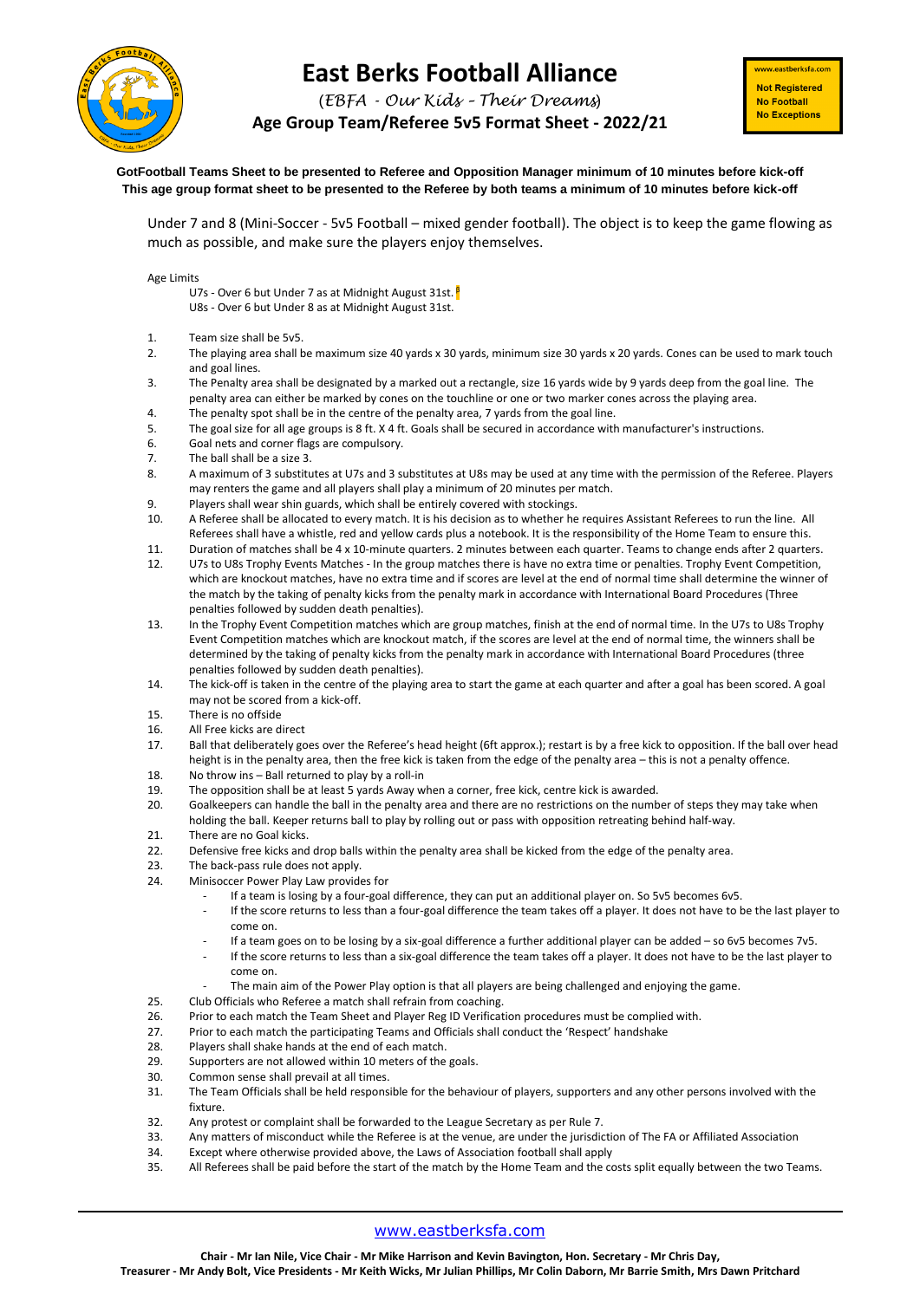

## **East Berks Football Alliance**

(*EBFA - Our Kids – Their Dreams*)

**Age Group Team/Referee 5v5 Format Sheet - 2022/21**

ww.eastberksfa.com **Not Registered** No Football **No Exceptions** 

**GotFootball Teams Sheet to be presented to Referee and Opposition Manager minimum of 10 minutes before kick-off This age group format sheet to be presented to the Referee by both teams a minimum of 10 minutes before kick-off**

Under 7 and 8 (Mini-Soccer - 5v5 Football – mixed gender football). The object is to keep the game flowing as much as possible, and make sure the players enjoy themselves.

Age Limits

U7s - Over 6 but Under 7 as at Midnight August 31st. <sup>β</sup>

U8s - Over 6 but Under 8 as at Midnight August 31st.

- 1. Team size shall be 5v5.
- 2. The playing area shall be maximum size 40 yards x 30 yards, minimum size 30 yards x 20 yards. Cones can be used to mark touch and goal lines.
- 3. The Penalty area shall be designated by a marked out a rectangle, size 16 yards wide by 9 yards deep from the goal line. The penalty area can either be marked by cones on the touchline or one or two marker cones across the playing area.
- 4. The penalty spot shall be in the centre of the penalty area, 7 yards from the goal line.
- 5. The goal size for all age groups is 8 ft. X 4 ft. Goals shall be secured in accordance with manufacturer's instructions.
- 6. Goal nets and corner flags are compulsory.
- 7. The ball shall be a size 3.
- 8. A maximum of 3 substitutes at U7s and 3 substitutes at U8s may be used at any time with the permission of the Referee. Players may renters the game and all players shall play a minimum of 20 minutes per match.
- 9. Players shall wear shin guards, which shall be entirely covered with stockings.
- 10. A Referee shall be allocated to every match. It is his decision as to whether he requires Assistant Referees to run the line. All Referees shall have a whistle, red and yellow cards plus a notebook. It is the responsibility of the Home Team to ensure this.
- 11. Duration of matches shall be 4 x 10-minute quarters. 2 minutes between each quarter. Teams to change ends after 2 quarters.
- 12. U7s to U8s Trophy Events Matches In the group matches there is have no extra time or penalties. Trophy Event Competition, which are knockout matches, have no extra time and if scores are level at the end of normal time shall determine the winner of the match by the taking of penalty kicks from the penalty mark in accordance with International Board Procedures (Three penalties followed by sudden death penalties).
- 13. In the Trophy Event Competition matches which are group matches, finish at the end of normal time. In the U7s to U8s Trophy Event Competition matches which are knockout match, if the scores are level at the end of normal time, the winners shall be determined by the taking of penalty kicks from the penalty mark in accordance with International Board Procedures (three penalties followed by sudden death penalties).
- 14. The kick-off is taken in the centre of the playing area to start the game at each quarter and after a goal has been scored. A goal may not be scored from a kick-off.
- 15. There is no offside
- 16. All Free kicks are direct
- 17. Ball that deliberately goes over the Referee's head height (6ft approx.); restart is by a free kick to opposition. If the ball over head height is in the penalty area, then the free kick is taken from the edge of the penalty area – this is not a penalty offence.
- 18. No throw ins Ball returned to play by a roll-in
- 19. The opposition shall be at least 5 yards Away when a corner, free kick, centre kick is awarded.<br>20. Goalkeepers can handle the ball in the penalty area and there are no restrictions on the numb
- 20. Goalkeepers can handle the ball in the penalty area and there are no restrictions on the number of steps they may take when holding the ball. Keeper returns ball to play by rolling out or pass with opposition retreating behind half-way.
- 21. There are no Goal kicks.<br>22. Defensive free kicks and
- 22. Defensive free kicks and drop balls within the penalty area shall be kicked from the edge of the penalty area.
- 23. The back-pass rule does not apply.
- 24. Minisoccer Power Play Law provides for
	- If a team is losing by a four-goal difference, they can put an additional player on. So 5v5 becomes 6v5.
	- If the score returns to less than a four-goal difference the team takes off a player. It does not have to be the last player to come on.
	- If a team goes on to be losing by a six-goal difference a further additional player can be added so 6v5 becomes 7v5.
	- If the score returns to less than a six-goal difference the team takes off a player. It does not have to be the last player to come on.
	- The main aim of the Power Play option is that all players are being challenged and enjoying the game.
- 25. Club Officials who Referee a match shall refrain from coaching.
- 26. Prior to each match the Team Sheet and Player Reg ID Verification procedures must be complied with.
- 27. Prior to each match the participating Teams and Officials shall conduct the 'Respect' handshake
- 28. Players shall shake hands at the end of each match.
- 29. Supporters are not allowed within 10 meters of the goals.
- 30. Common sense shall prevail at all times.
- 31. The Team Officials shall be held responsible for the behaviour of players, supporters and any other persons involved with the fixture.
- 32. Any protest or complaint shall be forwarded to the League Secretary as per Rule 7.
- 33. Any matters of misconduct while the Referee is at the venue, are under the jurisdiction of The FA or Affiliated Association
- 34. Except where otherwise provided above, the Laws of Association football shall apply
- 35. All Referees shall be paid before the start of the match by the Home Team and the costs split equally between the two Teams.

## [www.eastberksfa.com](http://www.eastberksfa.com/)

**Chair - Mr Ian Nile, Vice Chair - Mr Mike Harrison and Kevin Bavington, Hon. Secretary - Mr Chris Day, Treasurer - Mr Andy Bolt, Vice Presidents - Mr Keith Wicks, Mr Julian Phillips, Mr Colin Daborn, Mr Barrie Smith, Mrs Dawn Pritchard**